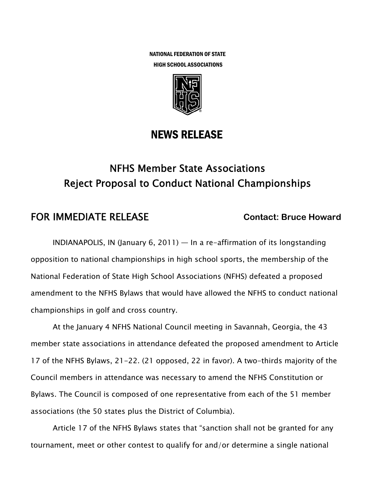NATIONAL FEDERATION OF STATE HIGH SCHOOL ASSOCIATIONS



## NEWS RELEASE

# NFHS Member State Associations Reject Proposal to Conduct National Championships

## **FOR IMMEDIATE RELEASE Contact: Bruce Howard Contact: Bruce Howard**

INDIANAPOLIS, IN (January 6, 2011) — In a re-affirmation of its longstanding opposition to national championships in high school sports, the membership of the National Federation of State High School Associations (NFHS) defeated a proposed amendment to the NFHS Bylaws that would have allowed the NFHS to conduct national championships in golf and cross country.

At the January 4 NFHS National Council meeting in Savannah, Georgia, the 43 member state associations in attendance defeated the proposed amendment to Article 17 of the NFHS Bylaws, 21-22. (21 opposed, 22 in favor). A two-thirds majority of the Council members in attendance was necessary to amend the NFHS Constitution or Bylaws. The Council is composed of one representative from each of the 51 member associations (the 50 states plus the District of Columbia).

Article 17 of the NFHS Bylaws states that "sanction shall not be granted for any tournament, meet or other contest to qualify for and/or determine a single national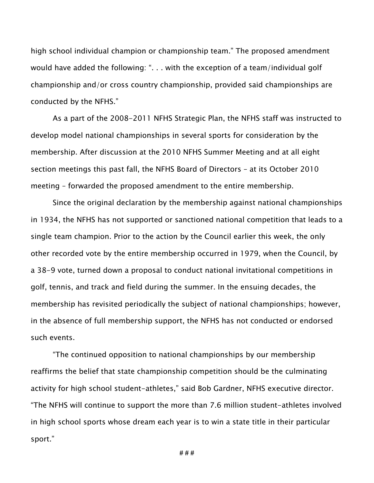high school individual champion or championship team." The proposed amendment would have added the following: ". . . with the exception of a team/individual golf championship and/or cross country championship, provided said championships are conducted by the NFHS."

As a part of the 2008-2011 NFHS Strategic Plan, the NFHS staff was instructed to develop model national championships in several sports for consideration by the membership. After discussion at the 2010 NFHS Summer Meeting and at all eight section meetings this past fall, the NFHS Board of Directors – at its October 2010 meeting – forwarded the proposed amendment to the entire membership.

Since the original declaration by the membership against national championships in 1934, the NFHS has not supported or sanctioned national competition that leads to a single team champion. Prior to the action by the Council earlier this week, the only other recorded vote by the entire membership occurred in 1979, when the Council, by a 38-9 vote, turned down a proposal to conduct national invitational competitions in golf, tennis, and track and field during the summer. In the ensuing decades, the membership has revisited periodically the subject of national championships; however, in the absence of full membership support, the NFHS has not conducted or endorsed such events.

"The continued opposition to national championships by our membership reaffirms the belief that state championship competition should be the culminating activity for high school student-athletes," said Bob Gardner, NFHS executive director. "The NFHS will continue to support the more than 7.6 million student-athletes involved in high school sports whose dream each year is to win a state title in their particular sport."

**# # #**